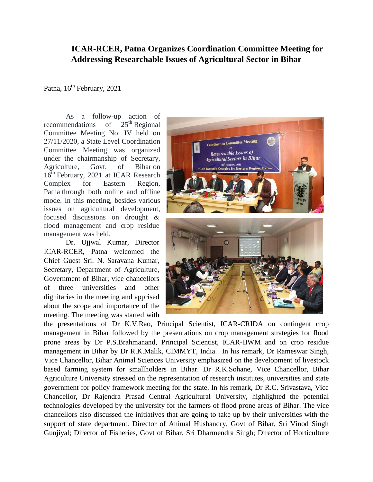## **ICAR-RCER, Patna Organizes Coordination Committee Meeting for Addressing Researchable Issues of Agricultural Sector in Bihar**

Patna,  $16<sup>th</sup>$  February, 2021

As a follow-up action of recommendations of  $25<sup>th</sup>$  Regional Committee Meeting No. IV held on 27/11/2020, a State Level Coordination Committee Meeting was organized under the chairmanship of Secretary, Agriculture, Govt. of Bihar on 16<sup>th</sup> February, 2021 at ICAR Research Complex for Eastern Region, Patna through both online and offline mode. In this meeting, besides various issues on agricultural development, focused discussions on drought & flood management and crop residue management was held.

Dr. Ujjwal Kumar, Director ICAR-RCER, Patna welcomed the Chief Guest Sri. N. Saravana Kumar, Secretary, Department of Agriculture, Government of Bihar, vice chancellors of three universities and other dignitaries in the meeting and apprised about the scope and importance of the meeting. The meeting was started with



the presentations of Dr K.V.Rao, Principal Scientist, ICAR-CRIDA on contingent crop management in Bihar followed by the presentations on crop management strategies for flood prone areas by Dr P.S.Brahmanand, Principal Scientist, ICAR-IIWM and on crop residue management in Bihar by Dr R.K.Malik, CIMMYT, India. In his remark, Dr Rameswar Singh, Vice Chancellor, Bihar Animal Sciences University emphasized on the development of livestock based farming system for smallholders in Bihar. Dr R.K.Sohane, Vice Chancellor, Bihar Agriculture University stressed on the representation of research institutes, universities and state government for policy framework meeting for the state. In his remark, Dr R.C. Srivastava, Vice Chancellor, Dr Rajendra Prasad Central Agricultural University, highlighted the potential technologies developed by the university for the farmers of flood prone areas of Bihar. The vice chancellors also discussed the initiatives that are going to take up by their universities with the support of state department. Director of Animal Husbandry, Govt of Bihar, Sri Vinod Singh Gunjiyal; Director of Fisheries, Govt of Bihar, Sri Dharmendra Singh; Director of Horticulture